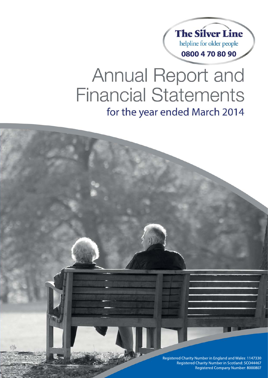

# **Annual Report and Financial Statements** for the year ended March 2014

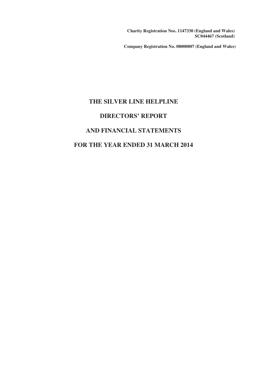**Charity Registration Nos. 1147330 (England and Wales) SC044467 (Scotland)**

**Company Registration No. 08000807 (England and Wales)**

# **THE SILVER LINE HELPLINE DIRECTORS' REPORT AND FINANCIAL STATEMENTS**

# **FOR THE YEAR ENDED 31 MARCH 2014**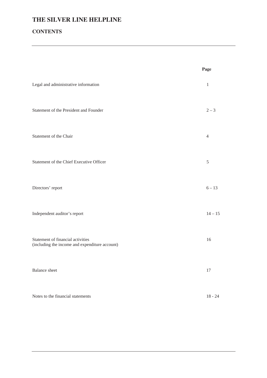# **CONTENTS**

|                                                                                     | Page           |
|-------------------------------------------------------------------------------------|----------------|
| Legal and administrative information                                                | $\,1\,$        |
| Statement of the President and Founder                                              | $2 - 3$        |
| Statement of the Chair                                                              | $\overline{4}$ |
| Statement of the Chief Executive Officer                                            | $\sqrt{5}$     |
| Directors' report                                                                   | $6 - 13$       |
| Independent auditor's report                                                        | $14 - 15$      |
| Statement of financial activities<br>(including the income and expenditure account) | 16             |
| <b>Balance</b> sheet                                                                | 17             |
| Notes to the financial statements                                                   | $18 - 24$      |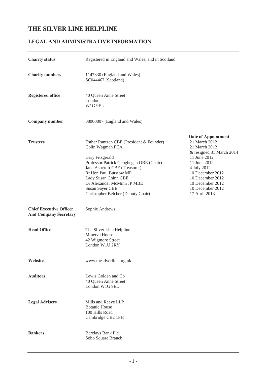| <b>Charity status</b>                                          | Registered in England and Wales, and in Scotland                                                                                                                                                                                                                                                     |                                                                                                                                                                                                                                          |
|----------------------------------------------------------------|------------------------------------------------------------------------------------------------------------------------------------------------------------------------------------------------------------------------------------------------------------------------------------------------------|------------------------------------------------------------------------------------------------------------------------------------------------------------------------------------------------------------------------------------------|
| <b>Charity numbers</b>                                         | 1147330 (England and Wales)<br>SC044467 (Scotland)                                                                                                                                                                                                                                                   |                                                                                                                                                                                                                                          |
| <b>Registered office</b>                                       | 40 Queen Anne Street<br>London<br>W1G 9EL                                                                                                                                                                                                                                                            |                                                                                                                                                                                                                                          |
| <b>Company number</b>                                          | 08000807 (England and Wales)                                                                                                                                                                                                                                                                         |                                                                                                                                                                                                                                          |
| <b>Trustees</b>                                                | Esther Rantzen CBE (President & Founder)<br>Colin Wagman FCA<br>Gary Fitzgerald<br>Professor Patrick Geoghegan OBE (Chair)<br>Jane Ashcroft CBE (Treasurer)<br>Rt Hon Paul Burstow MP<br>Lady Susan Chinn CBE<br>Dr Alexander McMinn JP MBE<br>Susan Sayer CBE<br>Christopher Belcher (Deputy Chair) | <b>Date of Appointment</b><br>21 March 2012<br>21 March 2012<br>& resigned 31 March 2014<br>11 June 2012<br>11 June 2012<br>4 July 2012<br>10 December 2012<br>10 December 2012<br>10 December 2012<br>10 December 2012<br>17 April 2013 |
| <b>Chief Executive Officer</b><br><b>And Company Secretary</b> | Sophie Andrews                                                                                                                                                                                                                                                                                       |                                                                                                                                                                                                                                          |
| <b>Head Office</b>                                             | The Silver Line Helpline<br>Minerva House<br>42 Wigmore Street<br>London W1U 2RY                                                                                                                                                                                                                     |                                                                                                                                                                                                                                          |
| Website                                                        | www.thesilverline.org.uk                                                                                                                                                                                                                                                                             |                                                                                                                                                                                                                                          |
| <b>Auditors</b>                                                | Lewis Golden and Co<br>40 Queen Anne Street<br>London W1G 9EL                                                                                                                                                                                                                                        |                                                                                                                                                                                                                                          |
| <b>Legal Advisers</b>                                          | Mills and Reeve LLP<br><b>Botanic House</b><br>100 Hills Road<br>Cambridge CB2 1PH                                                                                                                                                                                                                   |                                                                                                                                                                                                                                          |
| <b>Bankers</b>                                                 | <b>Barclays Bank Plc</b><br>Soho Square Branch                                                                                                                                                                                                                                                       |                                                                                                                                                                                                                                          |

# **LEGAL AND ADMINISTRATIVE INFORMATION**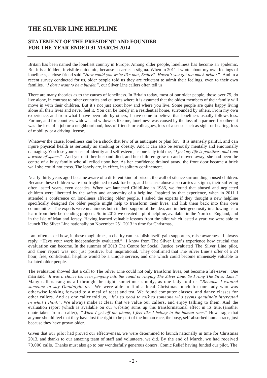## **STATEMENT OF THE PRESIDENT AND FOUNDER FOR THE YEAR ENDED 31 MARCH 2014**

Britain has been named the loneliest country in Europe. Among older people, loneliness has become an epidemic. But it is a hidden, invisible epidemic, because it carries a stigma. When in 2011 I wrote about my own feelings of loneliness, a close friend said *"How could you write like that, Esther? Haven't you got too much pride?"* And in a recent survey conducted for us, older people told us they are reluctant to admit their feelings, even to their own families. *"I don't want to be a burden"*, our Silver Line callers often tell us.

There are many theories as to the causes of loneliness. In Britain today, most of our older people, those over 75, do live alone, in contrast to other countries and cultures where it is assumed that the oldest members of their family will move in with their children. But it's not just about how and where you live. Some people are quite happy living alone all their lives and never feel it. You can be lonely in a residential home, surrounded by others. From my own experience, and from what I have been told by others, I have come to believe that loneliness usually follows loss. For me, and for countless widows and widowers like me, loneliness was caused by the loss of a partner; for others it was the loss of a job or a neighbourhood, loss of friends or colleagues, loss of a sense such as sight or hearing, loss of mobility or a driving license.

Whatever the cause, loneliness can be a shock that few of us anticipate or plan for. It is intensely painful, and can injure physical health as seriously as smoking or obesity. And it can also be seriously mentally and emotionally damaging. You lose your sense of identity and self-esteem, as one lady told me, *"I feel my life is pointless, and I am a waste of space."* And yet until her husband died, and her children grew up and moved away, she had been the centre of a busy family who all relied upon her. As her confidence drained away, the front door became a brick wall she could not cross. The lonely are, in effect, in solitary confinement.

Nearly thirty years ago I became aware of a different kind of prison, the wall of silence surrounding abused children. Because these children were too frightened to ask for help, and because abuse also carries a stigma, their suffering often lasted years, even decades. When we launched ChildLine in 1986, we found that abused and neglected children were liberated by the safety and anonymity of a helpline. Inspired by that experience, when in 2011 I attended a conference on loneliness affecting older people, I asked the experts if they thought a new helpline specifically designed for older people might help to transform their lives, and link them back into their own communities. The experts were unanimous both in their support of the idea, and in their generosity in allowing us to learn from their befriending projects. So in 2012 we created a pilot helpline, available in the North of England, and in the Isle of Man and Jersey. Having learned valuable lessons from the pilot which lasted a year, we were able to launch The Silver Line nationally on November  $25<sup>th</sup>$  2013 in time for Christmas,

I am often asked how, in these tough times, a charity can establish itself, gain supporters, raise awareness. I always reply, "Have your work independently evaluated." I know from The Silver Line's experience how crucial that evaluation can become. In the summer of 2013 The Centre for Social Justice evaluated The Silver Line pilot, and their report was not just positive, but inspirational. They confirmed that The Silver Line's offer of a 24 hour, free, confidential helpline would be a unique service, and one which could become immensely valuable to isolated older people.

The evaluation showed that a call to The Silver Line could not only transform lives, but become a life-saver. One man said *"It was a choice between jumping into the canal or ringing The Silver Line. So I rang The Silver Line."* Many callers rang us all through the night, sometimes simply, as one lady told us *"Because I wanted someone to say Goodnight to."* We were able to find a local Christmas lunch for one lady who was otherwise looking forward to a meal of toast and tea. We found computer classes, and dance classes for other callers. And as one caller told us, *"It's so good to talk to someone who seems genuinely interested in what I think"*. We always make it clear that we value our callers, and enjoy talking to them. And the evaluation report (which is available on our website) sums up this transformational effect in its title, (another quote taken from a caller), *"When I get off the phone, I feel like I belong to the human race."* How tragic that anyone should feel that they have lost the right to be part of the human race, the busy, self-absorbed human race, just because they have grown older.

Given that our pilot had proved our effectiveness, we were determined to launch nationally in time for Christmas 2013, and thanks to our amazing team of staff and volunteers, we did. By the end of March, we had received 70,000 calls. Thanks must also go to our wonderfully generous donors. Comic Relief having funded our pilot, The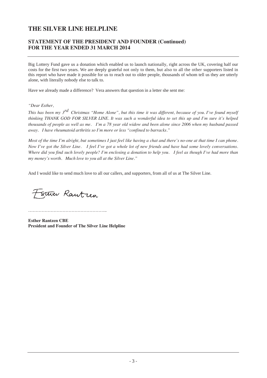## **STATEMENT OF THE PRESIDENT AND FOUNDER (Continued) FOR THE YEAR ENDED 31 MARCH 2014**

Big Lottery Fund gave us a donation which enabled us to launch nationally, right across the UK, covering half our costs for the first two years. We are deeply grateful not only to them, but also to all the other supporters listed in this report who have made it possible for us to reach out to older people, thousands of whom tell us they are utterly alone, with literally nobody else to talk to.

Have we already made a difference? Vera answers that question in a letter she sent me:

*"Dear Esther,*

*This has been my 3rd Christmas "Home Alone", but this time it was different, because of you. I've found myself thinking THANK GOD FOR SILVER LINE. It was such a wonderful idea to set this up and I'm sure it's helped thousands of people as well as me. I'm a 78 year old widow and been alone since 2006 when my husband passed away. I have rheumatoid arthritis so I'm more or less "confined to barracks."*

*Most of the time I'm alright, but sometimes I just feel like having a chat and there's no-one at that time I can phone. Now I've got the Silver Line. I feel I've got a whole lot of new friends and have had some lovely conversations. Where did you find such lovely people? I'm enclosing a donation to help you. I feel as though I've had more than my money's worth. Much love to you all at the Silver Line."*

And I would like to send much love to all our callers, and supporters, from all of us at The Silver Line.

Stuer Rantren

……………………………………………..

**Esther Rantzen CBE President and Founder of The Silver Line Helpline**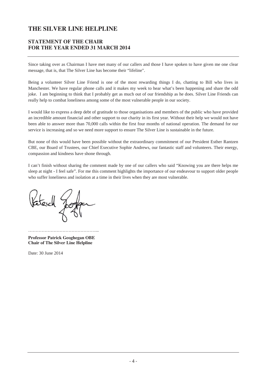## **STATEMENT OF THE CHAIR FOR THE YEAR ENDED 31 MARCH 2014**

Since taking over as Chairman I have met many of our callers and those I have spoken to have given me one clear message, that is, that The Silver Line has become their "lifeline".

Being a volunteer Silver Line Friend is one of the most rewarding things I do, chatting to Bill who lives in Manchester. We have regular phone calls and it makes my week to hear what's been happening and share the odd joke. I am beginning to think that I probably get as much out of our friendship as he does. Silver Line Friends can really help to combat loneliness among some of the most vulnerable people in our society.

I would like to express a deep debt of gratitude to those organisations and members of the public who have provided an incredible amount financial and other support to our charity in its first year. Without their help we would not have been able to answer more than 70,000 calls within the first four months of national operation. The demand for our service is increasing and so we need more support to ensure The Silver Line is sustainable in the future.

But none of this would have been possible without the extraordinary commitment of our President Esther Rantzen CBE, our Board of Trustees, our Chief Executive Sophie Andrews, our fantastic staff and volunteers. Their energy, compassion and kindness have shone through.

I can't finish without sharing the comment made by one of our callers who said "Knowing you are there helps me sleep at night - I feel safe". For me this comment highlights the importance of our endeavour to support older people who suffer loneliness and isolation at a time in their lives when they are most vulnerable.

Vateral ge

…………………………………………… **Professor Patrick Geoghegan OBE Chair of The Silver Line Helpline**

Date: 30 June 2014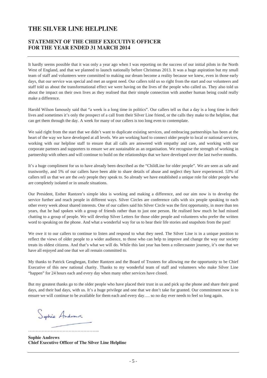## **STATEMENT OF THE CHIEF EXECUTIVE OFFICER FOR THE YEAR ENDED 31 MARCH 2014**

It hardly seems possible that it was only a year ago when I was reporting on the success of our initial pilots in the North West of England, and that we planned to launch nationally before Christmas 2013. It was a huge aspiration but my small team of staff and volunteers were committed to making our dream become a reality because we knew, even in those early days, that our service was special and met an urgent need. Our callers told us so right from the start and our volunteers and staff told us about the transformational effect we were having on the lives of the people who called us. They also told us about the impact on their own lives as they realised that their simple connection with another human being could really make a difference.

Harold Wilson famously said that "a week is a long time in politics". Our callers tell us that a day is a long time in their lives and sometimes it's only the prospect of a call from their Silver Line friend, or the calls they make to the helpline, that can get them through the day. A week for many of our callers is too long even to contemplate.

We said right from the start that we didn't want to duplicate existing services, and embracing partnerships has been at the heart of the way we have developed at all levels. We are working hard to connect older people to local or national services, working with our helpline staff to ensure that all calls are answered with empathy and care, and working with our corporate partners and supporters to ensure we are sustainable as an organisation. We recognise the strength of working in partnership with others and will continue to build on the relationships that we have developed over the last twelve months.

It's a huge compliment for us to have already been described as the "ChildLine for older people". We are seen as safe and trustworthy, and 5% of our callers have been able to share details of abuse and neglect they have experienced. 53% of callers tell us that we are the *only* people they speak to. So already we have established a unique role for older people who are completely isolated or in unsafe situations.

Our President, Esther Rantzen's simple idea is working and making a difference, and our aim now is to develop the service further and reach people in different ways. Silver Circles are conference calls with six people speaking to each other every week about shared interests. One of our callers said his Silver Circle was the first opportunity, in more than ten years, that he had spoken with a group of friends rather than to just one person. He realised how much he had missed chatting to a group of people. We will develop Silver Letters for those older people and volunteers who prefer the written word to speaking on the phone. And what a wonderful way for us to hear their life stories and snapshots from the past!

We owe it to our callers to continue to listen and respond to what they need. The Silver Line is in a unique position to reflect the views of older people to a wider audience, to those who can help to improve and change the way our society treats its oldest citizens. And that's what we will do. While this last year has been a rollercoaster journey, it's one that we have all enjoyed and one that we all remain committed to.

My thanks to Patrick Geoghegan, Esther Rantzen and the Board of Trustees for allowing me the opportunity to be Chief Executive of this new national charity. Thanks to my wonderful team of staff and volunteers who make Silver Line "happen" for 24 hours each and every day when many other services have closed.

But my greatest thanks go to the older people who have placed their trust in us and pick up the phone and share their good days, and their bad days, with us. It's a huge privilege and one that we don't take for granted. Our commitment now is to ensure we will continue to be available for them each and every day…. so no day ever needs to feel so long again.

Sophie Androns

………………………………………...

**Sophie Andrews Chief Executive Officer of The Silver Line Helpline**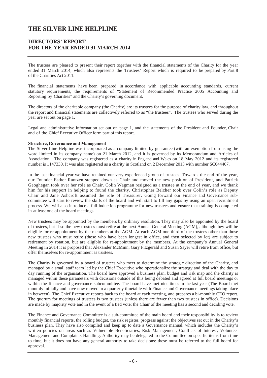## **DIRECTORS' REPORT FOR THE YEAR ENDED 31 MARCH 2014**

The trustees are pleased to present their report together with the financial statements of the Charity for the year ended 31 March 2014, which also represents the Trustees' Report which is required to be prepared by Part 8 of the Charities Act 2011.

The financial statements have been prepared in accordance with applicable accounting standards, current statutory requirements, the requirements of "Statement of Recommended Practise 2005 Accounting and Reporting by Charities" and the Charity's governing document.

The directors of the charitable company (the Charity) are its trustees for the purpose of charity law, and throughout the report and financial statements are collectively referred to as "the trustees". The trustees who served during the year are set out on page 1.

Legal and administrative information set out on page 1, and the statements of the President and Founder, Chair and of the Chief Executive Officer form part of this report.

#### **Structure, Governance and Management**

The Silver Line Helpline was incorporated as a company limited by guarantee (with an exemption from using the word limited in its company name) on 21 March 2012, and it is governed by its Memorandum and Articles of Association. The company was registered as a charity in England and Wales on 18 May 2012 and its registered number is 1147330. It was also registered as a charity in Scotland on 2 December 2013 with number SC044467.

In the last financial year we have retained our very experienced group of trustees. Towards the end of the year, our Founder Esther Rantzen stepped down as Chair and moved the new position of President, and Patrick Geoghegan took over her role as Chair. Colin Wagman resigned as a trustee at the end of year, and we thank him for his support in helping to found the charity. Christopher Belcher took over Colin's role as Deputy Chair and Jane Ashcroft assumed the role of Treasurer. Going forward our Finance and Governance subcommittee will start to review the skills of the board and will start to fill any gaps by using an open recruitment process. We will also introduce a full induction programme for new trustees and ensure that training is completed in at least one of the board meetings.

New trustees may be appointed by the members by ordinary resolution. They may also be appointed by the board of trustees, but if so the new trustees must retire at the next Annual General Meeting (AGM), although they will be eligible for re-appointment by the members at the AGM. At each AGM one third of the trustees other than those new trustees who must retire (those who have been longest in office, and then selected by lot) are subject to retirement by rotation, but are eligible for re-appointment by the members. At the company's Annual General Meeting in 2014 it is proposed that Alexander McMinn, Gary Fitzgerald and Susan Sayer will retire from office, but offer themselves for re-appointment as trustees.

The Charity is governed by a board of trustees who meet to determine the strategic direction of the Charity, and managed by a small staff team led by the Chief Executive who operationalize the strategy and deal with the day to day running of the organisation. The board have approved a business plan, budget and risk map and the charity is managed within these parameters with decisions outside of this being debated and agreed at full board meetings or within the finance and governance subcommittee. The board have met nine times in the last year (The Board met monthly initially and have now moved to a quarterly timetable with Finance and Governance meetings taking place in between). The Chief Executive reports back to the board at each meeting, and prepares a bi-monthly CEO report. The quorum for meetings of trustees is two trustees (unless there are fewer than two trustees in office). Decisions are made by majority vote and in the event of a tied vote; the Chair of the meeting has a second and deciding vote.

The Finance and Governance Committee is a sub-committee of the main board and their responsibility is to review monthly financial reports, the rolling budget, the risk register, progress against the objectives set out in the Charity's business plan. They have also compiled and keep up to date a Governance manual, which includes the Charity's written policies on areas such as Vulnerable Beneficiaries, Risk Management, Conflicts of Interest, Volunteer Management and Complaints Handling. Authority may be delegated to the Committee on specific items from time to time, but it does not have any general authority to take decisions: these must be referred to the full board for approval.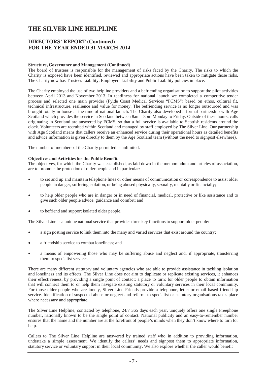## **DIRECTORS' REPORT (Continued) FOR THE YEAR ENDED 31 MARCH 2014**

#### **Structure, Governance and Management (Continued)**

The board of trustees is responsible for the management of risks faced by the Charity. The risks to which the Charity is exposed have been identified, reviewed and appropriate actions have been taken to mitigate those risks. The Charity now has Trustees Liability, Employers Liability and Public Liability policies in place.

The Charity employed the use of two helpline providers and a befriending organisation to support the pilot activities between April 2013 and November 2013. In readiness for national launch we completed a competitive tender process and selected one main provider (Fylde Coast Medical Services "FCMS") based on ethos, cultural fit, technical infrastructure, resilience and value for money. The befriending service is no longer outsourced and was brought totally in house at the time of national launch. The Charity also developed a formal partnership with Age Scotland which provides the service in Scotland between 8am - 8pm Monday to Friday. Outside of these hours, calls originating in Scotland are answered by FCMS, so that a full service is available to Scottish residents around the clock. Volunteers are recruited within Scotland and managed by staff employed by The Silver Line. Our partnership with Age Scotland means that callers receive an enhanced service during their operational hours as detailed benefits and advice information is given directly to them by the Age Scotland team (without the need to signpost elsewhere).

The number of members of the Charity permitted is unlimited.

### **Objectives and Activities for the Public Benefit**

The objectives, for which the Charity was established, as laid down in the memorandum and articles of association, are to promote the protection of older people and in particular:

- to set and up and maintain telephone lines or other means of communication or correspondence to assist older people in danger, suffering isolation, or being abused physically, sexually, mentally or financially;
- x to help older people who are in danger or in need of financial, medical, protective or like assistance and to give such older people advice, guidance and comfort; and
- to befriend and support isolated older people.

The Silver Line is a unique national service that provides three key functions to support older people:

- a sign posting service to link them into the many and varied services that exist around the country;
- a friendship service to combat loneliness; and
- a means of empowering those who may be suffering abuse and neglect and, if appropriate, transferring them to specialist services.

There are many different statutory and voluntary agencies who are able to provide assistance in tackling isolation and loneliness and its effects. The Silver Line does not aim to duplicate or replicate existing services, it enhances their effectiveness, by providing a single point of contact; a place to turn; for older people to obtain information that will connect them to or help them navigate existing statutory or voluntary services in their local community. For those older people who are lonely, Silver Line Friends provide a telephone, letter or email based friendship service. Identification of suspected abuse or neglect and referral to specialist or statutory organisations takes place where necessary and appropriate.

The Silver Line Helpline, contacted by telephone, 24/7 365 days each year, uniquely offers one single Freephone number, nationally known to be the single point of contact. National publicity and an easy-to-remember number ensures that the name and the number are at the forefront of people's minds when they don't know where to turn for help.

Callers to The Silver Line Helpline are answered by trained staff who in addition to providing information, undertake a simple assessment. We identify the callers' needs and signpost them to appropriate information, statutory service or voluntary support in their local community. We also explore whether the caller would benefit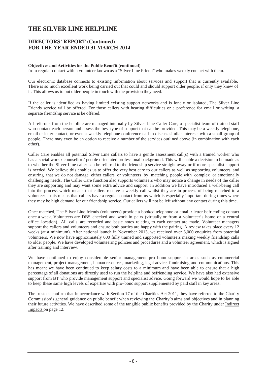## **DIRECTORS' REPORT (Continued) FOR THE YEAR ENDED 31 MARCH 2014**

#### **Objectives and Activities for the Public Benefit (continued)**

from regular contact with a volunteer known as a "Silver Line Friend" who makes weekly contact with them.

Our electronic database connects to existing information about services and support that is currently available. There is so much excellent work being carried out that could and should support older people, if only they knew of it. This allows us to put older people in touch with the provision they need.

If the caller is identified as having limited existing support networks and is lonely or isolated, The Silver Line Friends service will be offered. For those callers with hearing difficulties or a preference for email or writing, a separate friendship service is be offered.

All referrals from the helpline are managed internally by Silver Line Caller Care, a specialist team of trained staff who contact each person and assess the best type of support that can be provided. This may be a weekly telephone, email or letter contact, or even a weekly telephone conference call to discuss similar interests with a small group of people. There may even be an option to receive a number of the services outlined above (in combination with each other).

Caller Care enables all potential Silver Line callers to have a gentle assessment call(s) with a trained worker who has a social work / counsellor / people orientated professional background. This will enable a decision to be made as to whether the Silver Line caller can be referred to the friendship service straight away or if more specialist support is needed. We believe this enables us to offer the very best care to our callers as well as supporting volunteers and ensuring that we do not damage either callers or volunteers by matching people with complex or emotionally challenging needs. The Caller Care function also supports volunteers who may notice a change in needs of the caller they are supporting and may want some extra advice and support. In addition we have introduced a well-being call into the process which means that callers receive a weekly call whilst they are in process of being matched to a volunteer – this means that callers have a regular contact from us which is especially important during times where they may be high demand for our friendship service. Our callers will not be left without any contact during this time.

Once matched, The Silver Line friends (volunteers) provide a booked telephone or email / letter befriending contact once a week. Volunteers are DBS checked and work in pairs (virtually or from a volunteer's home or a central office location). All calls are recorded and basic notes relating to each contact are made. Volunteer managers support the callers and volunteers and ensure both parties are happy with the pairing. A review takes place every 12 weeks (at a minimum). After national launch in November 2013, we received over 6,000 enquiries from potential volunteers. We now have approximately 600 fully trained and supported volunteers making weekly friendship calls to older people. We have developed volunteering policies and procedures and a volunteer agreement, which is signed after training and interview.

We have continued to enjoy considerable senior management pro–bono support in areas such as commercial management, project management, human resources, marketing, legal advice, fundraising and communications. This has meant we have been continued to keep salary costs to a minimum and have been able to ensure that a high percentage of all donations are directly used to run the helpline and befriending service. We have also had extensive support from BT who provide management support and specialist advice. Going forward we would hope to be able to keep these same high levels of expertise with pro–bono support supplemented by paid staff in key areas.

The trustees confirm that in accordance with Section 17 of the Charities Act 2011, they have referred to the Charity Commission's general guidance on public benefit when reviewing the Charity's aims and objectives and in planning their future activities. We have described some of the tangible public benefits provided by the Charity under Indirect Impacts on page 12.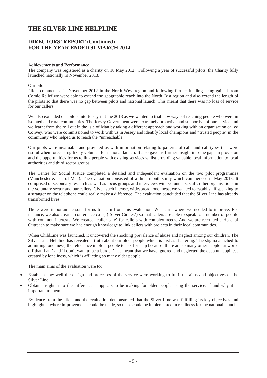## **DIRECTORS' REPORT (Continued) FOR THE YEAR ENDED 31 MARCH 2014**

#### **Achievements and Performance**

The company was registered as a charity on 18 May 2012. Following a year of successful pilots, the Charity fully launched nationally in November 2013.

## Our pilots

Pilots commenced in November 2012 in the North West region and following further funding being gained from Comic Relief we were able to extend the geographic reach into the North East region and also extend the length of the pilots so that there was no gap between pilots and national launch. This meant that there was no loss of service for our callers.

We also extended our pilots into Jersey in June 2013 as we wanted to trial new ways of reaching people who were in isolated and rural communities. The Jersey Government were extremely proactive and supportive of our service and we learnt from the roll out in the Isle of Man by taking a different approach and working with an organisation called Convey, who were commissioned to work with us in Jersey and identify local champions and "trusted people" in the community who helped us to reach the "unreachable".

Our pilots were invaluable and provided us with information relating to patterns of calls and call types that were useful when forecasting likely volumes for national launch. It also gave us further insight into the gaps in provision and the opportunities for us to link people with existing services whilst providing valuable local information to local authorities and third sector groups.

The Centre for Social Justice completed a detailed and independent evaluation on the two pilot programmes (Manchester & Isle of Man). The evaluation consisted of a three month study which commenced in May 2013. It comprised of secondary research as well as focus groups and interviews with volunteers, staff, other organisations in the voluntary sector and our callers. Given such intense, widespread loneliness, we wanted to establish if speaking to a stranger on the telephone could really make a difference. The evaluation concluded that the Silver Line has already transformed lives.

There were important lessons for us to learn from this evaluation. We learnt where we needed to improve. For instance, we also created conference calls, ('Silver Circles') so that callers are able to speak to a number of people with common interests. We created 'caller care' for callers with complex needs. And we are recruited a Head of Outreach to make sure we had enough knowledge to link callers with projects in their local communities.

When ChildLine was launched, it uncovered the shocking prevalence of abuse and neglect among our children. The Silver Line Helpline has revealed a truth about our older people which is just as shattering. The stigma attached to admitting loneliness, the reluctance in older people to ask for help because 'there are so many other people far worse off than I am' and 'I don't want to be a burden' has meant that we have ignored and neglected the deep unhappiness created by loneliness, which is afflicting so many older people.

The main aims of the evaluation were to:

- Establish how well the design and processes of the service were working to fulfil the aims and objectives of the Silver Line;
- Obtain insights into the difference it appears to be making for older people using the service: if and why it is important to them.

Evidence from the pilots and the evaluation demonstrated that the Silver Line was fulfilling its key objectives and highlighted where improvements could be made, so these could be implemented in readiness for the national launch.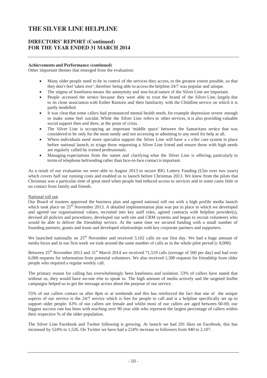## **DIRECTORS' REPORT (Continued) FOR THE YEAR ENDED 31 MARCH 2014**

## **Achievements and Performance (continued)**

Other important themes that emerged from the evaluation:

- Many older people need to be in control of the services they access, to the greatest extent possible, so that they don't feel'taken over', therefore being able to access the helpline 24/7 was popular and unique.
- The stigma of loneliness means the anonymity and non-local nature of the Silver Line are important.
- People accessed the service because they were able to trust the brand of the Silver Line, largely due to its close association with Esther Rantzen and their familiarity with the Childline service on which it is partly modelled.
- It was clear that some callers had pronounced mental health needs, for example depression severe enough to make some feel suicidal. While the Silver Line refers to other services, it is also providing valuable social support then and there, at the point of crisis.
- x The Silver Line is occupying an important 'middle space' between the Samaritans service that was considered to be only for the most needy and not accessing or admitting to any need for help at all.
- x Where individuals need more specialist support the Silver Line will have a c a ller care system in place before national launch, to triage those requesting a Silver Line friend and ensure those with high needs are regularly called by trained professionals.
- x Managing expectations from the outset and clarifying what the Silver Line is offering, particularly in terms of telephone befriending rather than face-to-face contact isimportant.

As a result of our evaluation we were able in August 2013 to secure BIG Lottery Funding (£5m over two years) which covers half our running costs and enabled us to launch before Christmas 2013. We knew from the pilots that Christmas was a particular time of great need when people had reduced access to services and in some cases little or no contact from family and friends.

#### National roll out

Our Board of trustees approved the business plan and agreed national roll out with a high profile media launch which took place on  $25<sup>th</sup>$  November 2013. A detailed implementation plan was put in place in which we developed and agreed our organisational values, recruited into key staff roles, agreed contracts with helpline provider(s), devised all policies and procedures, developed our web site and CRM systems and began to recruit volunteers who would be able to deliver the friendship service. At the same time we secured funding with a small number of founding partners, grants and trusts and developed relationships with key corporate partners and supporters.

We launched nationally on 25<sup>th</sup> November and received 3,102 calls on our first day. We had a huge amount of media focus and in our first week we took around the same number of calls as in the whole pilot period (c 8,000).

Between 25<sup>th</sup> November 2013 and 31<sup>st</sup> March 2014 we received 71,519 calls (average of 560 per day) and had over 6,000 requests for information from potential volunteers. We also received 1,300 requests for friendship from older people who required a regular weekly call.

The primary reason for calling has overwhelmingly been loneliness and isolation. 53% of callers have stated that without us, they would have no-one else to speak to. The high amount of media actively and the targeted leaflet campaigns helped us to get the message across about the purpose of our service.

55% of our callers contact us after 8pm or at weekends and this has reinforced the fact that one of the unique aspects of our service is the 24/7 service which is free for people to call and is a helpline specifically set up to support older people. 63% of our callers are female and whilst most of our callers are aged between 60-69, our biggest success rate has been with reaching over 90 year olds who represent the largest percentage of callers within their respective % of the older population.

The Silver Line Facebook and Twitter following is growing. At launch we had 291 likes on Facebook, this has increased by 524% to 1,526. On Twitter we have had a 224% increase in followers from 940 to 2,107.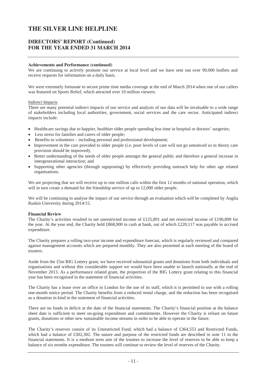## **DIRECTORS' REPORT (Continued) FOR THE YEAR ENDED 31 MARCH 2014**

#### **Achievements and Performance (continued)**

We are continuing to actively promote our service at local level and we have sent out over 90,000 leaflets and receive requests for information on a daily basis.

We were extremely fortunate to secure prime time media coverage at the end of March 2014 when one of our callers was featured on Sports Relief, which attracted over 10 million viewers.

#### Indirect Impacts

There are many potential indirect impacts of our service and analysis of our data will be invaluable to a wide range of stakeholders including local authorities, government, social services and the care sector. Anticipated indirect impacts include:

- Healthcare savings due to happier, healthier older people spending less time in hospital or doctors' surgeries;
- Less stress for families and carers of older people;
- $\bullet$  Benefits to volunteers including personal and professional development;
- Improvement in the care provided to older people (i.e. poor levels of care will not go unnoticed so in theory care provision should be improved);
- Better understanding of the needs of older people amongst the general public and therefore a general increase in intergenerational interaction; and
- Supporting other agencies (through signposting) by effectively providing outreach help for other age related organisations.

We are projecting that we will receive up to one million calls within the first 12 months of national operation, which will in turn create a demand for the friendship service of up to 12,000 older people.

We will be continuing to analyse the impact of our service through an evaluation which will be completed by Anglia Ruskin University during 2014/15.

#### **Financial Review**

The Charity's activities resulted in net unrestricted income of £125,891 and net restricted income of £190,899 for the year. At the year end, the Charity held £868,900 in cash at bank, out of which £220,117 was payable in accrued expenditure.

The Charity prepares a rolling two-year income and expenditure forecast, which is regularly reviewed and compared against management accounts which are prepared monthly. They are also presented at each meeting of the board of trustees.

Aside from the £5m BIG Lottery grant, we have received substantial grants and donations from both individuals and organisations and without this considerable support we would have been unable to launch nationally at the end of November 2013. As a performance related grant, the proportion of the BIG Lottery grant relating to this financial year has been recognised in the statement of financial activities.

The Charity has a lease over an office in London for the use of its staff, which it is permitted to use with a rolling one-month notice period. The Charity benefits from a reduced rental charge, and the reduction has been recognised as a donation in kind in the statement of financial activities.

There are no funds in deficit at the date of the financial statements. The Charity's financial position at the balance sheet date is sufficient to meet on-going expenditure and commitments. However the Charity is reliant on future grants, donations or other new sustainable income streams in order to be able to operate in the future.

The Charity's reserves consist of its Unrestricted Fund, which had a balance of £364,553 and Restricted Funds, which had a balance of £302,302. The nature and purpose of the restricted funds are described in note 11 to the financial statements. It is a medium term aim of the trustees to increase the level of reserves to be able to keep a balance of six months expenditure. The trustees will continue to review the level of reserves of the Charity.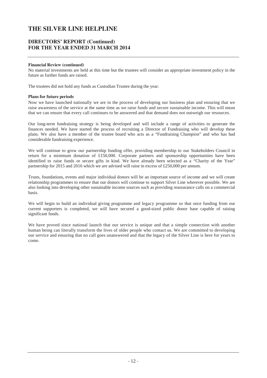## **DIRECTORS' REPORT (Continued) FOR THE YEAR ENDED 31 MARCH 2014**

### **Financial Review (continued)**

No material investments are held at this time but the trustees will consider an appropriate investment policy in the future as further funds are raised.

The trustees did not hold any funds as Custodian Trustee during the year.

#### **Plans for future periods**

Now we have launched nationally we are in the process of developing our business plan and ensuring that we raise awareness of the service at the same time as we raise funds and secure sustainable income. This will mean that we can ensure that every call continues to be answered and that demand does not outweigh our resources.

Our long-term fundraising strategy is being developed and will include a range of activities to generate the finances needed. We have started the process of recruiting a Director of Fundraising who will develop these plans. We also have a member of the trustee board who acts as a "Fundraising Champion" and who has had considerable fundraising experience.

We will continue to grow our partnership funding offer, providing membership to our Stakeholders Council in return for a minimum donation of £150,000. Corporate partners and sponsorship opportunities have been identified to raise funds or secure gifts in kind. We have already been selected as a "Charity of the Year" partnership for 2015 and 2016 which we are advised will raise in excess of £250,000 per annum.

Trusts, foundations, events and major individual donors will be an important source of income and we will create relationship programmes to ensure that our donors will continue to support Silver Line wherever possible. We are also looking into developing other sustainable income sources such as providing reassurance calls on a commercial basis.

We will begin to build an individual giving programme and legacy programme so that once funding from our current supporters is completed, we will have secured a good-sized public donor base capable of raising significant funds.

We have proved since national launch that our service is unique and that a simple connection with another human being can literally transform the lives of older people who contact us. We are committed to developing our service and ensuring that no call goes unanswered and that the legacy of the Silver Line is here for years to come.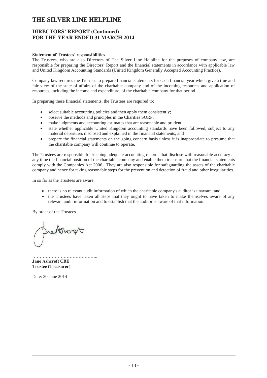## **DIRECTORS' REPORT (Continued) FOR THE YEAR ENDED 31 MARCH 2014**

#### **Statement of Trustees' responsibilities**

The Trustees, who are also Directors of The Silver Line Helpline for the purposes of company law, are responsible for preparing the Directors' Report and the financial statements in accordance with applicable law and United Kingdom Accounting Standards (United Kingdom Generally Accepted Accounting Practice).

Company law requires the Trustees to prepare financial statements for each financial year which give a true and fair view of the state of affairs of the charitable company and of the incoming resources and application of resources, including the income and expenditure, of the charitable company for that period.

In preparing these financial statements, the Trustees are required to:

- select suitable accounting policies and then apply them consistently;
- observe the methods and principles in the Charities SORP;
- make judgments and accounting estimates that are reasonable and prudent;
- x state whether applicable United Kingdom accounting standards have been followed, subject to any material departures disclosed and explained in the financial statements; and
- prepare the financial statements on the going concern basis unless it is inappropriate to presume that the charitable company will continue to operate.

The Trustees are responsible for keeping adequate accounting records that disclose with reasonable accuracy at any time the financial position of the charitable company and enable them to ensure that the financial statements comply with the Companies Act 2006. They are also responsible for safeguarding the assets of the charitable company and hence for taking reasonable steps for the prevention and detection of fraud and other irregularities.

In so far as the Trustees are aware:

- there is no relevant audit information of which the charitable company's auditor is unaware; and
- the Trustees have taken all steps that they ought to have taken to make themselves aware of any relevant audit information and to establish that the auditor is aware of that information.

By order of the Trustees

eforcept

…………………………………….. **Jane Ashcroft CBE Trustee (Treasurer)**

Date: 30 June 2014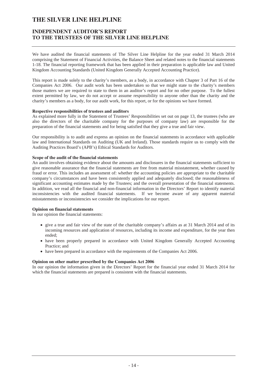## **INDEPENDENT AUDITOR'S REPORT TO THE TRUSTEES OF THE SILVER LINE HELPLINE**

We have audited the financial statements of The Silver Line Helpline for the year ended 31 March 2014 comprising the Statement of Financial Activities, the Balance Sheet and related notes to the financial statements 1-18. The financial reporting framework that has been applied in their preparation is applicable law and United Kingdom Accounting Standards (United Kingdom Generally Accepted Accounting Practice).

This report is made solely to the charity's members, as a body, in accordance with Chapter 3 of Part 16 of the Companies Act 2006. Our audit work has been undertaken so that we might state to the charity's members those matters we are required to state to them in an auditor's report and for no other purpose. To the fullest extent permitted by law, we do not accept or assume responsibility to anyone other than the charity and the charity's members as a body, for our audit work, for this report, or for the opinions we have formed.

#### **Respective responsibilities of trustees and auditors**

As explained more fully in the Statement of Trustees' Responsibilities set out on page 13, the trustees (who are also the directors of the charitable company for the purposes of company law) are responsible for the preparation of the financial statements and for being satisfied that they give a true and fair view.

Our responsibility is to audit and express an opinion on the financial statements in accordance with applicable law and International Standards on Auditing (UK and Ireland). Those standards require us to comply with the Auditing Practices Board's (APB's) Ethical Standards for Auditors.

### **Scope of the audit of the financial statements**

An audit involves obtaining evidence about the amounts and disclosures in the financial statements sufficient to give reasonable assurance that the financial statements are free from material misstatement, whether caused by fraud or error. This includes an assessment of: whether the accounting policies are appropriate to the charitable company's circumstances and have been consistently applied and adequately disclosed; the reasonableness of significant accounting estimates made by the Trustees; and the overall presentation of the financial statements. In addition, we read all the financial and non-financial information in the Directors' Report to identify material inconsistencies with the audited financial statements. If we become aware of any apparent material misstatements or inconsistencies we consider the implications for our report.

#### **Opinion on financial statements**

In our opinion the financial statements:

- give a true and fair view of the state of the charitable company's affairs as at 31 March 2014 and of its incoming resources and application of resources, including its income and expenditure, for the year then ended;
- have been properly prepared in accordance with United Kingdom Generally Accepted Accounting Practice; and
- have been prepared in accordance with the requirements of the Companies Act 2006.

#### **Opinion on other matter prescribed by the Companies Act 2006**

In our opinion the information given in the Directors' Report for the financial year ended 31 March 2014 for which the financial statements are prepared is consistent with the financial statements.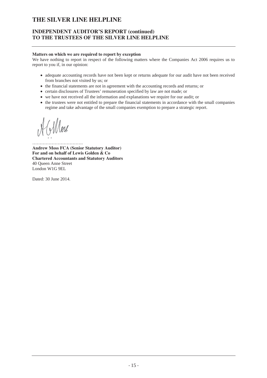## **INDEPENDENT AUDITOR'S REPORT (continued) TO THE TRUSTEES OF THE SILVER LINE HELPLINE**

### **Matters on which we are required to report by exception**

We have nothing to report in respect of the following matters where the Companies Act 2006 requires us to report to you if, in our opinion:

- adequate accounting records have not been kept or returns adequate for our audit have not been received from branches not visited by us; or
- the financial statements are not in agreement with the accounting records and returns; or
- certain disclosures of Trustees' remuneration specified by law are not made; or
- we have not received all the information and explanations we require for our audit; or
- the trustees were not entitled to prepare the financial statements in accordance with the small companies regime and take advantage of the small companies exemption to prepare a strategic report.

 $\partial M$ 

…………………………… **Andrew Moss FCA (Senior Statutory Auditor) For and on behalf of Lewis Golden & Co Chartered Accountants and Statutory Auditors** 40 Queen Anne Street London W1G 9EL

Dated: 30 June 2014.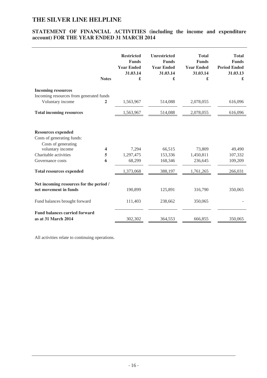## **STATEMENT OF FINANCIAL ACTIVITIES (including the income and expenditure account) FOR THE YEAR ENDED 31 MARCH 2014**

|                                                                                                                                                 | <b>Notes</b>   | <b>Restricted</b><br><b>Funds</b><br><b>Year Ended</b><br>31.03.14<br>£ | <b>Unrestricted</b><br><b>Funds</b><br><b>Year Ended</b><br>31.03.14<br>£ | <b>Total</b><br><b>Funds</b><br><b>Year Ended</b><br>31.03.14<br>£ | <b>Total</b><br><b>Funds</b><br><b>Period Ended</b><br>31.03.13<br>£ |
|-------------------------------------------------------------------------------------------------------------------------------------------------|----------------|-------------------------------------------------------------------------|---------------------------------------------------------------------------|--------------------------------------------------------------------|----------------------------------------------------------------------|
| <b>Incoming resources</b>                                                                                                                       |                |                                                                         |                                                                           |                                                                    |                                                                      |
| Incoming resources from generated funds                                                                                                         |                |                                                                         |                                                                           |                                                                    |                                                                      |
| Voluntary income                                                                                                                                | $\overline{2}$ | 1,563,967                                                               | 514,088                                                                   | 2,078,055                                                          | 616,096                                                              |
| <b>Total incoming resources</b>                                                                                                                 |                | 1,563,967                                                               | 514,088                                                                   | 2,078,055                                                          | 616,096                                                              |
| <b>Resources expended</b><br>Costs of generating funds:<br>Costs of generating<br>voluntary income<br>Charitable activities<br>Governance costs | 4<br>5<br>6    | 7,294<br>1,297,475<br>68,299                                            | 66,515<br>153,336<br>168,346                                              | 73,809<br>1,450,811<br>236,645                                     | 49,490<br>107,332<br>109,209                                         |
| <b>Total resources expended</b>                                                                                                                 |                | 1,373,068                                                               | 388,197                                                                   | 1,761,265                                                          | 266,031                                                              |
| Net incoming resources for the period /<br>net movement in funds                                                                                |                | 190,899                                                                 | 125,891                                                                   | 316,790                                                            | 350,065                                                              |
| Fund balances brought forward                                                                                                                   |                | 111,403                                                                 | 238,662                                                                   | 350,065                                                            |                                                                      |
| <b>Fund balances carried forward</b><br>as at 31 March 2014                                                                                     |                | 302,302                                                                 | 364,553                                                                   | 666,855                                                            | 350,065                                                              |

All activities relate to continuing operations.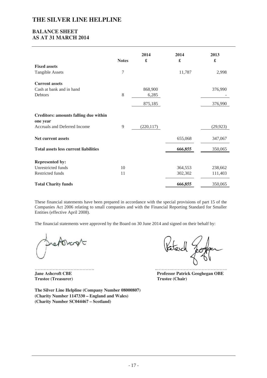## **BALANCE SHEET AS AT 31 MARCH 2014**

|                                                          | <b>Notes</b> | 2014<br>$\pmb{\mathfrak{L}}$ | 2014<br>£ | 2013<br>£ |
|----------------------------------------------------------|--------------|------------------------------|-----------|-----------|
| <b>Fixed assets</b>                                      |              |                              |           |           |
| <b>Tangible Assets</b>                                   | 7            |                              | 11,787    | 2,998     |
| <b>Current assets</b>                                    |              |                              |           |           |
| Cash at bank and in hand                                 |              | 868,900                      |           | 376,990   |
| Debtors                                                  | 8            | 6,285                        |           |           |
|                                                          |              | 875,185                      |           | 376,990   |
| <b>Creditors: amounts falling due within</b><br>one year |              |                              |           |           |
| Accruals and Deferred Income                             | 9            | (220, 117)                   |           | (29, 923) |
| <b>Net current assets</b>                                |              |                              | 655,068   | 347,067   |
| <b>Total assets less current liabilities</b>             |              |                              | 666,855   | 350,065   |
| <b>Represented by:</b>                                   |              |                              |           |           |
| Unrestricted funds                                       | 10           |                              | 364,553   | 238,662   |
| Restricted funds                                         | 11           |                              | 302,302   | 111,403   |
| <b>Total Charity funds</b>                               |              |                              | 666,855   | 350,065   |

These financial statements have been prepared in accordance with the special provisions of part 15 of the Companies Act 2006 relating to small companies and with the Financial Reporting Standard for Smaller Entities (effective April 2008).

The financial statements were approved by the Board on 30 June 2014 and signed on their behalf by:

Dragt  $\omega$ 

Vateral

…………………………………. ..……….………………………………. **Trustee (Treasurer)** Trustee (Chair)

**Jane Ashcroft CBE Professor Patrick Geoghegan OBE**

**The Silver Line Helpline (Company Number 08000807) (Charity Number 1147330 – England and Wales) (Charity Number SC044467 – Scotland)**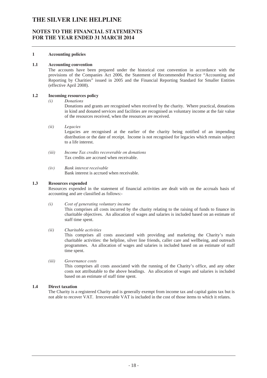## **NOTES TO THE FINANCIAL STATEMENTS FOR THE YEAR ENDED 31 MARCH 2014**

### **1 Accounting policies**

### **1.1 Accounting convention**

The accounts have been prepared under the historical cost convention in accordance with the provisions of the Companies Act 2006, the Statement of Recommended Practice "Accounting and Reporting by Charities" issued in 2005 and the Financial Reporting Standard for Smaller Entities (effective April 2008).

### **1.2 Incoming resources policy**

*(i) Donations*

Donations and grants are recognised when received by the charity. Where practical, donations in kind and donated services and facilities are recognised as voluntary income at the fair value of the resources received, when the resources are received.

*(ii) Legacies*

Legacies are recognised at the earlier of the charity being notified of an impending distribution or the date of receipt. Income is not recognised for legacies which remain subject to a life interest.

- *(iii) Income Tax credits recoverable on donations* Tax credits are accrued when receivable.
- *(iv) Bank interest receivable*

Bank interest is accrued when receivable.

## **1.3 Resources expended**

Resources expended in the statement of financial activities are dealt with on the accruals basis of accounting and are classified as follows:-

*(i) Cost of generating voluntary income*

This comprises all costs incurred by the charity relating to the raising of funds to finance its charitable objectives. An allocation of wages and salaries is included based on an estimate of staff time spent.

*(ii) Charitable activities*

This comprises all costs associated with providing and marketing the Charity's main charitable activities: the helpline, silver line friends, caller care and wellbeing, and outreach programmes. An allocation of wages and salaries is included based on an estimate of staff time spent.

*(iii) Governance costs*

This comprises all costs associated with the running of the Charity's office, and any other costs not attributable to the above headings. An allocation of wages and salaries is included based on an estimate of staff time spent.

## **1.4 Direct taxation**

The Charity is a registered Charity and is generally exempt from income tax and capital gains tax but is not able to recover VAT. Irrecoverable VAT is included in the cost of those items to which it relates.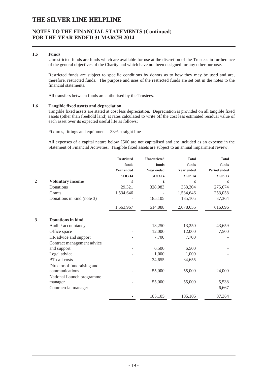## **NOTES TO THE FINANCIAL STATEMENTS (Continued) FOR THE YEAR ENDED 31 MARCH 2014**

## **1.5 Funds**

Unrestricted funds are funds which are available for use at the discretion of the Trustees in furtherance of the general objectives of the Charity and which have not been designed for any other purpose.

Restricted funds are subject to specific conditions by donors as to how they may be used and are, therefore, restricted funds. The purpose and uses of the restricted funds are set out in the notes to the financial statements.

All transfers between funds are authorised by the Trustees.

#### **1.6 Tangible fixed assets and depreciation**

Tangible fixed assets are stated at cost less depreciation. Depreciation is provided on all tangible fixed assets (other than freehold land) at rates calculated to write off the cost less estimated residual value of each asset over its expected useful life as follows:

Fixtures, fittings and equipment – 33% straight line

All expenses of a capital nature below £500 are not capitalised and are included as an expense in the Statement of Financial Activities. Tangible fixed assets are subject to an annual impairment review.

|                |                             | <b>Restricted</b> | <b>Unrestricted</b> | <b>Total</b>      | <b>Total</b>        |
|----------------|-----------------------------|-------------------|---------------------|-------------------|---------------------|
|                |                             | funds             | funds               | funds             | funds               |
|                |                             | <b>Year ended</b> | Year ended          | <b>Year ended</b> | <b>Period ended</b> |
|                |                             | 31.03.14          | 31.03.14            | 31.03.14          | 31.03.13            |
| $\overline{2}$ | <b>Voluntary income</b>     | £                 | £                   | £                 | £                   |
|                | Donations                   | 29,321            | 328,983             | 358,304           | 275,674             |
|                | Grants                      | 1,534,646         |                     | 1,534,646         | 253,058             |
|                | Donations in kind (note 3)  |                   | 185,105             | 185,105           | 87,364              |
|                |                             | 1,563,967         | 514,088             | 2,078,055         | 616,096             |
| 3              | <b>Donations in kind</b>    |                   |                     |                   |                     |
|                | Audit / accountancy         |                   | 13,250              | 13,250            | 43,659              |
|                | Office space                |                   | 12,000              | 12,000            | 7,500               |
|                | HR advice and support       |                   | 7,700               | 7,700             |                     |
|                | Contract management advice  |                   |                     |                   |                     |
|                | and support                 |                   | 6,500               | 6,500             |                     |
|                | Legal advice                |                   | 1,000               | 1,000             |                     |
|                | BT call costs               |                   | 34,655              | 34,655            |                     |
|                | Director of fundraising and |                   |                     |                   |                     |
|                | communications              |                   | 55,000              | 55,000            | 24,000              |
|                | National Launch programme   |                   |                     |                   |                     |
|                | manager                     |                   | 55,000              | 55,000            | 5,538               |
|                | Commercial manager          |                   |                     |                   | 6,667               |
|                |                             |                   | 185,105             | 185,105           | 87,364              |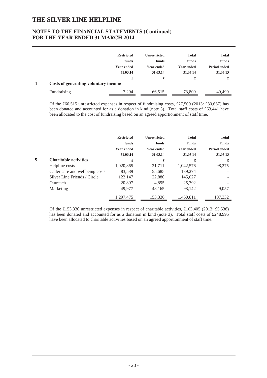## **NOTES TO THE FINANCIAL STATEMENTS (Continued) FOR THE YEAR ENDED 31 MARCH 2014**

|   |                                             | <b>Restricted</b> | Unrestricted      | Total             | <b>Total</b> |
|---|---------------------------------------------|-------------------|-------------------|-------------------|--------------|
|   |                                             | funds             | funds             | funds             | funds        |
|   |                                             | <b>Year ended</b> | <b>Year ended</b> | <b>Year ended</b> | Period ended |
|   |                                             | 31.03.14          | 31.03.14          | 31.03.14          | 31.03.13     |
|   |                                             | £                 | £                 | £                 | £            |
| 4 | <b>Costs of generating voluntary income</b> |                   |                   |                   |              |
|   | Fundraising                                 | 7,294             | 66.515            | 73,809            | 49.490       |

Of the £66,515 unrestricted expenses in respect of fundraising costs, £27,500 (2013: £30,667) has been donated and accounted for as a donation in kind (note 3). Total staff costs of £63,441 have been allocated to the cost of fundraising based on an agreed apportionment of staff time.

|   |                                 | <b>Restricted</b> | <b>Unrestricted</b> | <b>Total</b>      | <b>Total</b> |
|---|---------------------------------|-------------------|---------------------|-------------------|--------------|
|   |                                 | funds             | funds               | funds             | funds        |
|   |                                 | <b>Year ended</b> | <b>Year ended</b>   | <b>Year ended</b> | Period ended |
|   |                                 | 31.03.14          | 31.03.14            | 31.03.14          | 31.03.13     |
| 5 | <b>Charitable activities</b>    | £                 | £                   | £                 | £            |
|   | Helpline costs                  | 1,020,865         | 21,711              | 1,042,576         | 98,275       |
|   | Caller care and wellbeing costs | 83,589            | 55,685              | 139,274           |              |
|   | Silver Line Friends / Circle    | 122,147           | 22,880              | 145,027           |              |
|   | Outreach                        | 20,897            | 4,895               | 25,792            |              |
|   | Marketing                       | 49,977            | 48,165              | 98,142            | 9,057        |
|   |                                 | 1,297,475         | 153,336             | 1,450,811         | 107,332      |

Of the £153,336 unrestricted expenses in respect of charitable activities, £103,405 (2013: £5,538) has been donated and accounted for as a donation in kind (note 3). Total staff costs of £248,995 have been allocated to charitable activities based on an agreed apportionment of staff time.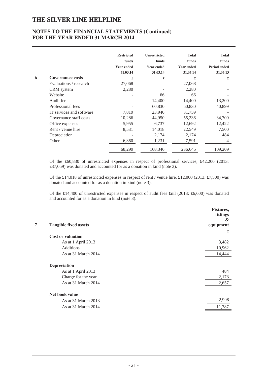## **NOTES TO THE FINANCIAL STATEMENTS (Continued) FOR THE YEAR ENDED 31 MARCH 2014**

|   |                          | <b>Restricted</b> | <b>Unrestricted</b> | <b>Total</b>      | <b>Total</b>        |
|---|--------------------------|-------------------|---------------------|-------------------|---------------------|
|   |                          | funds             | funds               | funds             | funds               |
|   |                          | <b>Year ended</b> | <b>Year ended</b>   | <b>Year ended</b> | <b>Period ended</b> |
|   |                          | 31.03.14          | 31.03.14            | 31.03.14          | 31.03.13            |
| 6 | <b>Governance costs</b>  | £                 | £                   | £                 | £                   |
|   | Evaluations / research   | 27,068            |                     | 27,068            |                     |
|   | CRM system               | 2,280             |                     | 2,280             |                     |
|   | Website                  |                   | 66                  | 66                |                     |
|   | Audit fee                |                   | 14,400              | 14,400            | 13,200              |
|   | Professional fees        |                   | 60,830              | 60,830            | 40,899              |
|   | IT services and software | 7,819             | 23,940              | 31,759            |                     |
|   | Governance staff costs   | 10,286            | 44,950              | 55,236            | 34,700              |
|   | Office expenses          | 5,955             | 6,737               | 12,692            | 12,422              |
|   | Rent / venue hire        | 8,531             | 14,018              | 22,549            | 7,500               |
|   | Depreciation             |                   | 2,174               | 2,174             | 484                 |
|   | Other                    | 6,360             | 1,231               | 7,591             | 4                   |
|   |                          | 68,299            | 168,346             | 236,645           | 109,209             |

Of the £60,830 of unrestricted expenses in respect of professional services, £42,200 (2013: £37,059) was donated and accounted for as a donation in kind (note 3).

Of the £14,018 of unrestricted expenses in respect of rent / venue hire, £12,000 (2013: £7,500) was donated and accounted for as a donation in kind (note 3).

Of the £14,400 of unrestricted expenses in respect of audit fees £nil (2013: £6,600) was donated and accounted for as a donation in kind (note 3).

|   |                              | Fixtures,<br>fittings<br>& |
|---|------------------------------|----------------------------|
| 7 | <b>Tangible fixed assets</b> | equipment                  |
|   |                              | £                          |
|   | <b>Cost or valuation</b>     |                            |
|   | As at 1 April 2013           | 3,482                      |
|   | Additions                    | 10,962                     |
|   | As at 31 March 2014          | 14,444                     |
|   | Depreciation                 |                            |
|   | As at 1 April 2013           | 484                        |
|   | Charge for the year          | 2,173                      |
|   | As at 31 March 2014          | 2,657                      |
|   | Net book value               |                            |
|   | As at 31 March 2013          | 2,998                      |
|   | As at 31 March 2014          | 11,787                     |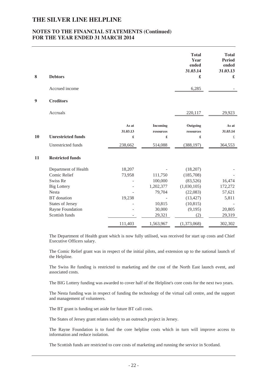## **NOTES TO THE FINANCIAL STATEMENTS (Continued) FOR THE YEAR ENDED 31 MARCH 2014**

| 8                | <b>Debtors</b>                                                                                                                                                         |                            |                                                                         | <b>Total</b><br>Year<br>ended<br>31.03.14<br>£                                                           | <b>Total</b><br><b>Period</b><br>ended<br>31.03.13<br>$\pmb{\mathfrak{X}}$ |
|------------------|------------------------------------------------------------------------------------------------------------------------------------------------------------------------|----------------------------|-------------------------------------------------------------------------|----------------------------------------------------------------------------------------------------------|----------------------------------------------------------------------------|
|                  | Accrued income                                                                                                                                                         |                            |                                                                         | 6,285                                                                                                    |                                                                            |
| $\boldsymbol{9}$ | <b>Creditors</b>                                                                                                                                                       |                            |                                                                         |                                                                                                          |                                                                            |
|                  | Accruals                                                                                                                                                               |                            |                                                                         | 220,117                                                                                                  | 29,923                                                                     |
| 10               | <b>Unrestricted funds</b>                                                                                                                                              | As at<br>31.03.13<br>£     | <b>Incoming</b><br>resources<br>$\pounds$                               | Outgoing<br>resources<br>£                                                                               | As at<br>31.03.14<br>$\pounds$                                             |
|                  | Unrestricted funds                                                                                                                                                     | 238,662                    | 514,088                                                                 | (388, 197)                                                                                               | 364,553                                                                    |
| 11               | <b>Restricted funds</b>                                                                                                                                                |                            |                                                                         |                                                                                                          |                                                                            |
|                  | Department of Health<br>Comic Relief<br>Swiss Re<br><b>Big Lottery</b><br><b>Nesta</b><br>BT donation<br><b>States of Jersey</b><br>Rayne Foundation<br>Scottish funds | 18,207<br>73,958<br>19,238 | 111,750<br>100,000<br>1,202,377<br>79,704<br>10,815<br>30,000<br>29,321 | (18,207)<br>(185,708)<br>(83,526)<br>(1,030,105)<br>(22,083)<br>(13, 427)<br>(10, 815)<br>(9,195)<br>(2) | 16,474<br>172,272<br>57,621<br>5,811<br>20,805<br>29,319                   |
|                  |                                                                                                                                                                        | 111,403                    | 1,563,967                                                               | (1,373,068)                                                                                              | 302,302                                                                    |

The Department of Health grant which is now fully utilised, was received for start up costs and Chief Executive Officers salary.

The Comic Relief grant was in respect of the initial pilots, and extension up to the national launch of the Helpline.

The Swiss Re funding is restricted to marketing and the cost of the North East launch event, and associated costs.

The BIG Lottery funding was awarded to cover half of the Helpline's core costs for the next two years.

The Nesta funding was in respect of funding the technology of the virtual call centre, and the support and management of volunteers.

The BT grant is funding set aside for future BT call costs.

The States of Jersey grant relates solely to an outreach project in Jersey.

The Rayne Foundation is to fund the core helpline costs which in turn will improve access to information and reduce isolation.

The Scottish funds are restricted to core costs of marketing and running the service in Scotland.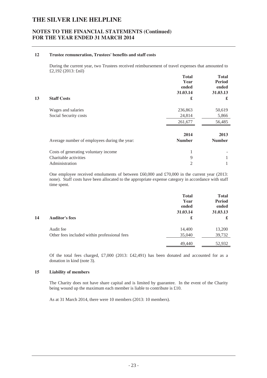## **NOTES TO THE FINANCIAL STATEMENTS (Continued) FOR THE YEAR ENDED 31 MARCH 2014**

### **12 Trustee remuneration, Trustees' benefits and staff costs**

During the current year, two Trustees received reimbursement of travel expenses that amounted to £2,192 (2013: £nil)

| 13 | <b>Staff Costs</b>                           | <b>Total</b><br>Year<br>ended<br>31.03.14<br>£ | <b>Total</b><br><b>Period</b><br>ended<br>31.03.13<br>£ |
|----|----------------------------------------------|------------------------------------------------|---------------------------------------------------------|
|    | Wages and salaries                           | 236,863                                        | 50,619                                                  |
|    | Social Security costs                        | 24,814                                         | 5,866                                                   |
|    |                                              | 261,677                                        | 56,485                                                  |
|    |                                              | 2014                                           | 2013                                                    |
|    | Average number of employees during the year: | <b>Number</b>                                  | <b>Number</b>                                           |
|    | Costs of generating voluntary income         | 1                                              |                                                         |
|    | Charitable activities                        | 9                                              |                                                         |
|    | Administration                               | 2                                              |                                                         |

One employee received emoluments of between £60,000 and £70,000 in the current year (2013: none). Staff costs have been allocated to the appropriate expense category in accordance with staff time spent.

|    |                                              | <b>Total</b><br>Year<br>ended | <b>Total</b><br><b>Period</b><br>ended |
|----|----------------------------------------------|-------------------------------|----------------------------------------|
| 14 | <b>Auditor's fees</b>                        | 31.03.14<br>£                 | 31.03.13<br>£                          |
|    | Audit fee                                    | 14,400                        | 13,200                                 |
|    | Other fees included within professional fees | 35,040<br>49,440              | 39,732<br>52,932                       |

Of the total fees charged, £7,000 (2013: £42,491) has been donated and accounted for as a donation in kind (note 3).

#### **15 Liability of members**

The Charity does not have share capital and is limited by guarantee. In the event of the Charity being wound up the maximum each member is liable to contribute is £10.

As at 31 March 2014, there were 10 members (2013: 10 members).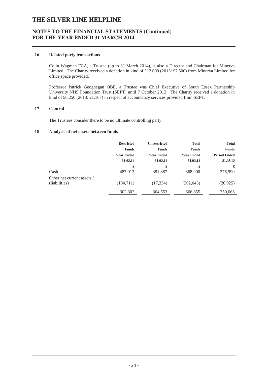## **NOTES TO THE FINANCIAL STATEMENTS (Continued) FOR THE YEAR ENDED 31 MARCH 2014**

#### **16 Related party transactions**

Colin Wagman FCA, a Trustee (up to 31 March 2014), is also a Director and Chairman for Minerva Limited. The Charity received a donation in kind of £12,000 (2013: £7,500) from Minerva Limited for office space provided.

Professor Patrick Geoghegan OBE, a Trustee was Chief Executive of South Essex Partnership University NHS Foundation Trust (SEPT) until 7 October 2013. The Charity received a donation in kind of £6,250 (2013: £1,167) in respect of accountancy services provided from SEPT.

### **17 Control**

The Trustees consider there to be no ultimate controlling party.

## **18 Analysis of net assets between funds**

|                            | <b>Restricted</b> | <b>Unrestricted</b> | <b>Total</b>      | <b>Total</b>        |
|----------------------------|-------------------|---------------------|-------------------|---------------------|
|                            | <b>Funds</b>      | <b>Funds</b>        | <b>Funds</b>      | <b>Funds</b>        |
|                            | <b>Year Ended</b> | <b>Year Ended</b>   | <b>Year Ended</b> | <b>Period Ended</b> |
|                            | 31.03.14          | 31.03.14            | 31.03.14          | 31.03.13            |
|                            | £                 | £                   | £                 | £                   |
| Cash                       | 487,013           | 381,887             | 868,900           | 376,990             |
| Other net current assets / |                   |                     |                   |                     |
| (liabilities)              | (184, 711)        | (17, 334)           | (202, 045)        | (26, 925)           |
|                            | 302,302           | 364,553             | 666,855           | 350,065             |